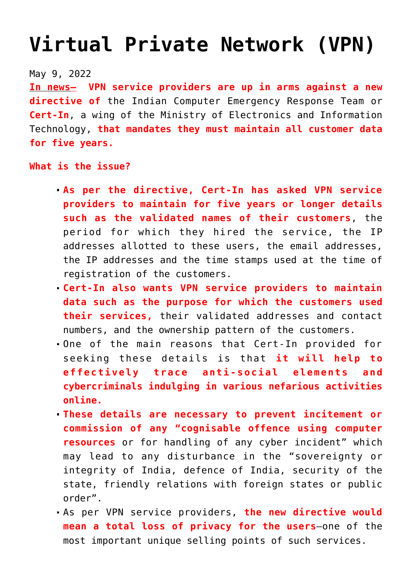## **[Virtual Private Network \(VPN\)](https://journalsofindia.com/virtual-private-network-vpn/)**

## May 9, 2022

**In news– VPN service providers are up in arms against a new directive of** the Indian Computer Emergency Response Team or **Cert-In**, a wing of the Ministry of Electronics and Information Technology, **that mandates they must maintain all customer data for five years.** 

## **What is the issue?**

- **As per the directive, Cert-In has asked VPN service providers to maintain for five years or longer details such as the validated names of their customers**, the period for which they hired the service, the IP addresses allotted to these users, the email addresses, the IP addresses and the time stamps used at the time of registration of the customers.
- **Cert-In also wants VPN service providers to maintain data such as the purpose for which the customers used their services,** their validated addresses and contact numbers, and the ownership pattern of the customers.
- One of the main reasons that Cert-In provided for seeking these details is that **it will help to effectively trace anti-social elements and cybercriminals indulging in various nefarious activities online.**
- **These details are necessary to prevent incitement or commission of any "cognisable offence using computer resources** or for handling of any cyber incident" which may lead to any disturbance in the "sovereignty or integrity of India, defence of India, security of the state, friendly relations with foreign states or public order".
- As per VPN service providers, **the new directive would mean a total loss of privacy for the users**–one of the most important unique selling points of such services.